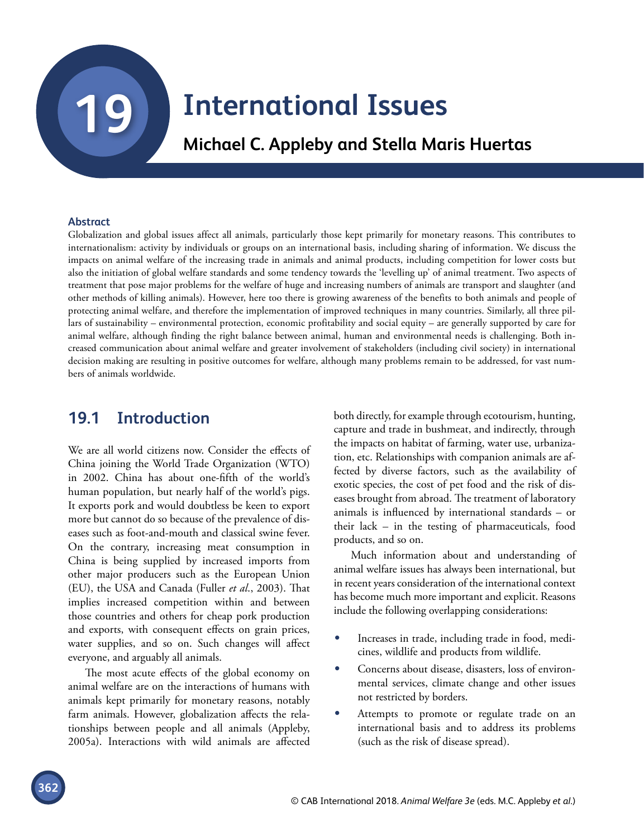# **19 [International Issues](#page--1-0)**

**Michael C. Appleby and Stella Maris Huertas**

#### **Abstract**

Globalization and global issues affect all animals, particularly those kept primarily for monetary reasons. This contributes to internationalism: activity by individuals or groups on an international basis, including sharing of information. We discuss the impacts on animal welfare of the increasing trade in animals and animal products, including competition for lower costs but also the initiation of global welfare standards and some tendency towards the 'levelling up' of animal treatment. Two aspects of treatment that pose major problems for the welfare of huge and increasing numbers of animals are transport and slaughter (and other methods of killing animals). However, here too there is growing awareness of the benefits to both animals and people of protecting animal welfare, and therefore the implementation of improved techniques in many countries. Similarly, all three pillars of sustainability – environmental protection, economic profitability and social equity – are generally supported by care for animal welfare, although finding the right balance between animal, human and environmental needs is challenging. Both increased communication about animal welfare and greater involvement of stakeholders (including civil society) in international decision making are resulting in positive outcomes for welfare, although many problems remain to be addressed, for vast numbers of animals worldwide.

## **19.1 Introduction**

We are all world citizens now. Consider the effects of China joining the World Trade Organization (WTO) in 2002. China has about one-fifth of the world's human population, but nearly half of the world's pigs. It exports pork and would doubtless be keen to export more but cannot do so because of the prevalence of diseases such as foot-and-mouth and classical swine fever. On the contrary, increasing meat consumption in China is being supplied by increased imports from other major producers such as the European Union (EU), the USA and Canada (Fuller *et al*., 2003). That implies increased competition within and between those countries and others for cheap pork production and exports, with consequent effects on grain prices, water supplies, and so on. Such changes will affect everyone, and arguably all animals.

The most acute effects of the global economy on animal welfare are on the interactions of humans with animals kept primarily for monetary reasons, notably farm animals. However, globalization affects the relationships between people and all animals (Appleby, 2005a). Interactions with wild animals are affected

both directly, for example through ecotourism, hunting, capture and trade in bushmeat, and indirectly, through the impacts on habitat of farming, water use, urbanization, etc. Relationships with companion animals are affected by diverse factors, such as the availability of exotic species, the cost of pet food and the risk of diseases brought from abroad. The treatment of laboratory animals is influenced by international standards – or their lack – in the testing of pharmaceuticals, food products, and so on.

Much information about and understanding of animal welfare issues has always been international, but in recent years consideration of the international context has become much more important and explicit. Reasons include the following overlapping considerations:

- Increases in trade, including trade in food, medicines, wildlife and products from wildlife.
- Concerns about disease, disasters, loss of environmental services, climate change and other issues not restricted by borders.
- Attempts to promote or regulate trade on an international basis and to address its problems (such as the risk of disease spread).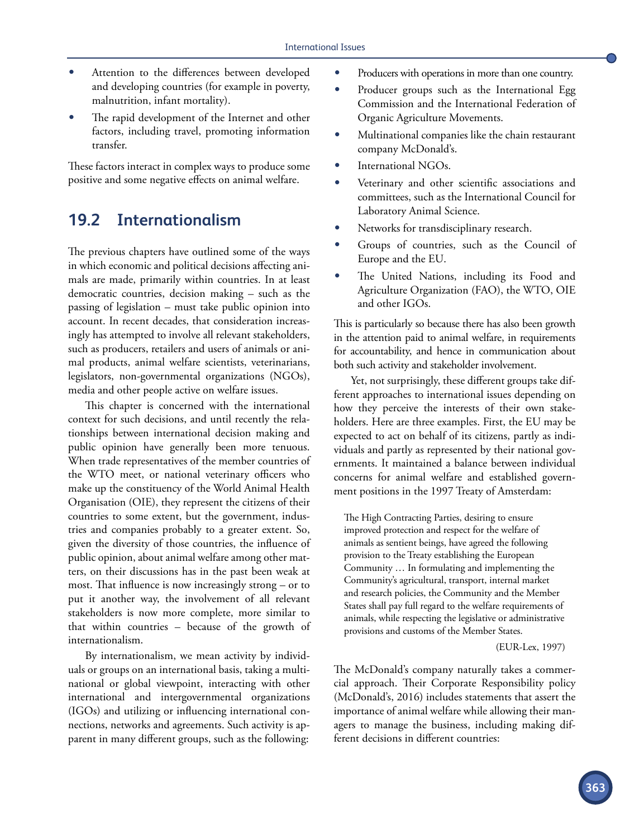- Attention to the differences between developed and developing countries (for example in poverty, malnutrition, infant mortality).
- The rapid development of the Internet and other factors, including travel, promoting information transfer.

These factors interact in complex ways to produce some positive and some negative effects on animal welfare.

## **19.2 Internationalism**

The previous chapters have outlined some of the ways in which economic and political decisions affecting animals are made, primarily within countries. In at least democratic countries, decision making – such as the passing of legislation – must take public opinion into account. In recent decades, that consideration increasingly has attempted to involve all relevant stakeholders, such as producers, retailers and users of animals or animal products, animal welfare scientists, veterinarians, legislators, non-governmental organizations (NGOs), media and other people active on welfare issues.

This chapter is concerned with the international context for such decisions, and until recently the relationships between international decision making and public opinion have generally been more tenuous. When trade representatives of the member countries of the WTO meet, or national veterinary officers who make up the constituency of the World Animal Health Organisation (OIE), they represent the citizens of their countries to some extent, but the government, industries and companies probably to a greater extent. So, given the diversity of those countries, the influence of public opinion, about animal welfare among other matters, on their discussions has in the past been weak at most. That influence is now increasingly strong – or to put it another way, the involvement of all relevant stakeholders is now more complete, more similar to that within countries – because of the growth of internationalism.

By internationalism, we mean activity by individuals or groups on an international basis, taking a multinational or global viewpoint, interacting with other international and intergovernmental organizations (IGOs) and utilizing or influencing international connections, networks and agreements. Such activity is apparent in many different groups, such as the following:

- Producers with operations in more than one country.
- Producer groups such as the International Egg Commission and the International Federation of Organic Agriculture Movements.
- Multinational companies like the chain restaurant company McDonald's.
- International NGOs.
- Veterinary and other scientific associations and committees, such as the International Council for Laboratory Animal Science.
- Networks for transdisciplinary research.
- Groups of countries, such as the Council of Europe and the EU.
- The United Nations, including its Food and Agriculture Organization (FAO), the WTO, OIE and other IGOs.

This is particularly so because there has also been growth in the attention paid to animal welfare, in requirements for accountability, and hence in communication about both such activity and stakeholder involvement.

Yet, not surprisingly, these different groups take different approaches to international issues depending on how they perceive the interests of their own stakeholders. Here are three examples. First, the EU may be expected to act on behalf of its citizens, partly as individuals and partly as represented by their national governments. It maintained a balance between individual concerns for animal welfare and established government positions in the 1997 Treaty of Amsterdam:

The High Contracting Parties, desiring to ensure improved protection and respect for the welfare of animals as sentient beings, have agreed the following provision to the Treaty establishing the European Community … In formulating and implementing the Community's agricultural, transport, internal market and research policies, the Community and the Member States shall pay full regard to the welfare requirements of animals, while respecting the legislative or administrative provisions and customs of the Member States.

(EUR-Lex, 1997)

The McDonald's company naturally takes a commercial approach. Their Corporate Responsibility policy (McDonald's, 2016) includes statements that assert the importance of animal welfare while allowing their managers to manage the business, including making different decisions in different countries: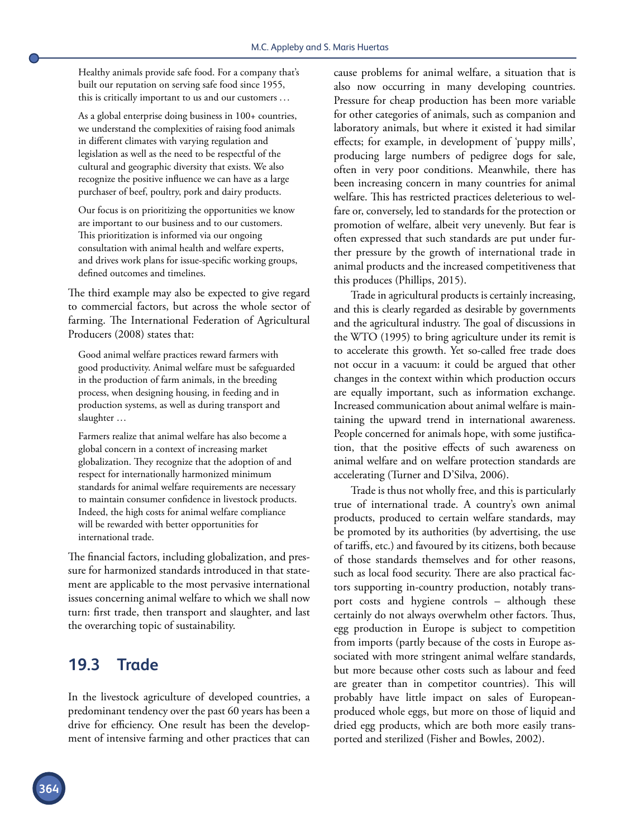Healthy animals provide safe food. For a company that's built our reputation on serving safe food since 1955, this is critically important to us and our customers . ..

As a global enterprise doing business in 100+ countries, we understand the complexities of raising food animals in different climates with varying regulation and legislation as well as the need to be respectful of the cultural and geographic diversity that exists. We also recognize the positive influence we can have as a large purchaser of beef, poultry, pork and dairy products.

Our focus is on prioritizing the opportunities we know are important to our business and to our customers. This prioritization is informed via our ongoing consultation with animal health and welfare experts, and drives work plans for issue-specific working groups, defined outcomes and timelines.

The third example may also be expected to give regard to commercial factors, but across the whole sector of farming. The International Federation of Agricultural Producers (2008) states that:

Good animal welfare practices reward farmers with good productivity. Animal welfare must be safeguarded in the production of farm animals, in the breeding process, when designing housing, in feeding and in production systems, as well as during transport and slaughter …

Farmers realize that animal welfare has also become a global concern in a context of increasing market globalization. They recognize that the adoption of and respect for internationally harmonized minimum standards for animal welfare requirements are necessary to maintain consumer confidence in livestock products. Indeed, the high costs for animal welfare compliance will be rewarded with better opportunities for international trade.

The financial factors, including globalization, and pressure for harmonized standards introduced in that statement are applicable to the most pervasive international issues concerning animal welfare to which we shall now turn: first trade, then transport and slaughter, and last the overarching topic of sustainability.

## **19.3 Trade**

In the livestock agriculture of developed countries, a predominant tendency over the past 60 years has been a drive for efficiency. One result has been the development of intensive farming and other practices that can cause problems for animal welfare, a situation that is also now occurring in many developing countries. Pressure for cheap production has been more variable for other categories of animals, such as companion and laboratory animals, but where it existed it had similar effects; for example, in development of 'puppy mills', producing large numbers of pedigree dogs for sale, often in very poor conditions. Meanwhile, there has been increasing concern in many countries for animal welfare. This has restricted practices deleterious to welfare or, conversely, led to standards for the protection or promotion of welfare, albeit very unevenly. But fear is often expressed that such standards are put under further pressure by the growth of international trade in animal products and the increased competitiveness that this produces (Phillips, 2015).

Trade in agricultural products is certainly increasing, and this is clearly regarded as desirable by governments and the agricultural industry. The goal of discussions in the WTO (1995) to bring agriculture under its remit is to accelerate this growth. Yet so-called free trade does not occur in a vacuum: it could be argued that other changes in the context within which production occurs are equally important, such as information exchange. Increased communication about animal welfare is maintaining the upward trend in international awareness. People concerned for animals hope, with some justification, that the positive effects of such awareness on animal welfare and on welfare protection standards are accelerating (Turner and D'Silva, 2006).

Trade is thus not wholly free, and this is particularly true of international trade. A country's own animal products, produced to certain welfare standards, may be promoted by its authorities (by advertising, the use of tariffs, etc.) and favoured by its citizens, both because of those standards themselves and for other reasons, such as local food security. There are also practical factors supporting in-country production, notably transport costs and hygiene controls – although these certainly do not always overwhelm other factors. Thus, egg production in Europe is subject to competition from imports (partly because of the costs in Europe associated with more stringent animal welfare standards, but more because other costs such as labour and feed are greater than in competitor countries). This will probably have little impact on sales of Europeanproduced whole eggs, but more on those of liquid and dried egg products, which are both more easily transported and sterilized (Fisher and Bowles, 2002).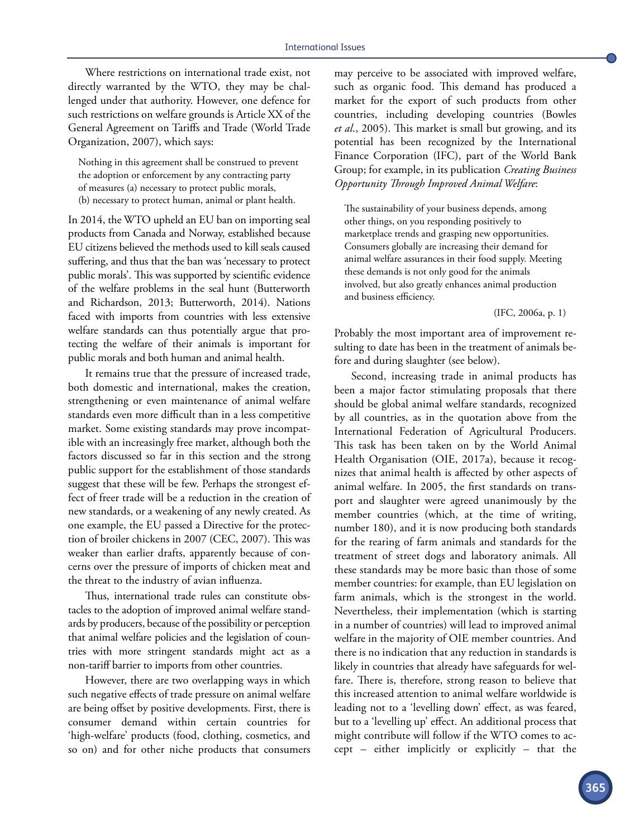Where restrictions on international trade exist, not directly warranted by the WTO, they may be challenged under that authority. However, one defence for such restrictions on welfare grounds is Article XX of the General Agreement on Tariffs and Trade (World Trade Organization, 2007), which says:

Nothing in this agreement shall be construed to prevent the adoption or enforcement by any contracting party of measures (a) necessary to protect public morals, (b) necessary to protect human, animal or plant health.

In 2014, the WTO upheld an EU ban on importing seal products from Canada and Norway, established because EU citizens believed the methods used to kill seals caused suffering, and thus that the ban was 'necessary to protect public morals'. This was supported by scientific evidence of the welfare problems in the seal hunt (Butterworth and Richardson, 2013; Butterworth, 2014). Nations faced with imports from countries with less extensive welfare standards can thus potentially argue that protecting the welfare of their animals is important for public morals and both human and animal health.

It remains true that the pressure of increased trade, both domestic and international, makes the creation, strengthening or even maintenance of animal welfare standards even more difficult than in a less competitive market. Some existing standards may prove incompatible with an increasingly free market, although both the factors discussed so far in this section and the strong public support for the establishment of those standards suggest that these will be few. Perhaps the strongest effect of freer trade will be a reduction in the creation of new standards, or a weakening of any newly created. As one example, the EU passed a Directive for the protection of broiler chickens in 2007 (CEC, 2007). This was weaker than earlier drafts, apparently because of concerns over the pressure of imports of chicken meat and the threat to the industry of avian influenza.

Thus, international trade rules can constitute obstacles to the adoption of improved animal welfare standards by producers, because of the possibility or perception that animal welfare policies and the legislation of countries with more stringent standards might act as a non-tariff barrier to imports from other countries.

However, there are two overlapping ways in which such negative effects of trade pressure on animal welfare are being offset by positive developments. First, there is consumer demand within certain countries for 'high-welfare' products (food, clothing, cosmetics, and so on) and for other niche products that consumers

may perceive to be associated with improved welfare, such as organic food. This demand has produced a market for the export of such products from other countries, including developing countries (Bowles *et al*., 2005). This market is small but growing, and its potential has been recognized by the International Finance Corporation (IFC), part of the World Bank Group; for example, in its publication *Creating Business Opportunity Through Improved Animal Welfare*:

The sustainability of your business depends, among other things, on you responding positively to marketplace trends and grasping new opportunities. Consumers globally are increasing their demand for animal welfare assurances in their food supply. Meeting these demands is not only good for the animals involved, but also greatly enhances animal production and business efficiency.

(IFC, 2006a, p. 1)

Probably the most important area of improvement resulting to date has been in the treatment of animals before and during slaughter (see below).

Second, increasing trade in animal products has been a major factor stimulating proposals that there should be global animal welfare standards, recognized by all countries, as in the quotation above from the International Federation of Agricultural Producers. This task has been taken on by the World Animal Health Organisation (OIE, 2017a), because it recognizes that animal health is affected by other aspects of animal welfare. In 2005, the first standards on transport and slaughter were agreed unanimously by the member countries (which, at the time of writing, number 180), and it is now producing both standards for the rearing of farm animals and standards for the treatment of street dogs and laboratory animals. All these standards may be more basic than those of some member countries: for example, than EU legislation on farm animals, which is the strongest in the world. Nevertheless, their implementation (which is starting in a number of countries) will lead to improved animal welfare in the majority of OIE member countries. And there is no indication that any reduction in standards is likely in countries that already have safeguards for welfare. There is, therefore, strong reason to believe that this increased attention to animal welfare worldwide is leading not to a 'levelling down' effect, as was feared, but to a 'levelling up' effect. An additional process that might contribute will follow if the WTO comes to accept – either implicitly or explicitly – that the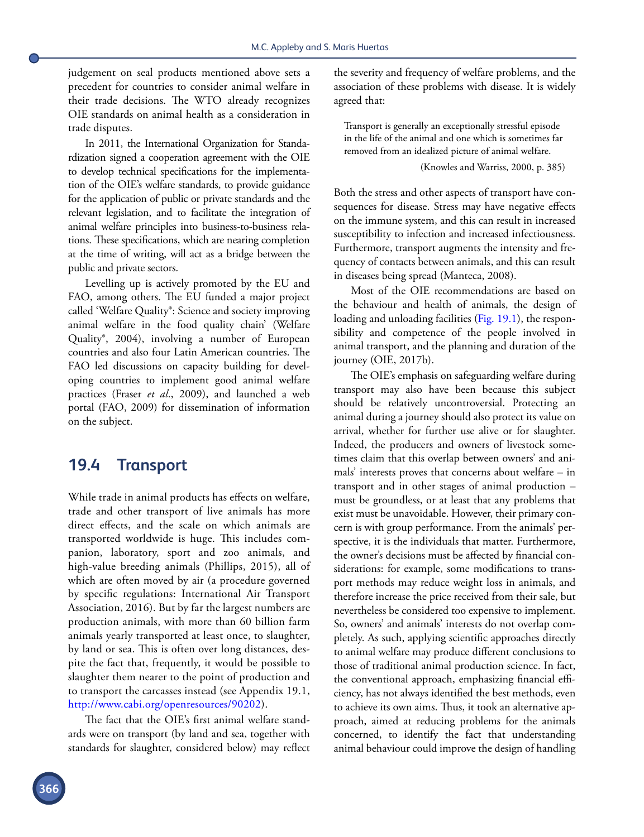judgement on seal products mentioned above sets a precedent for countries to consider animal welfare in their trade decisions. The WTO already recognizes OIE standards on animal health as a consideration in trade disputes.

In 2011, the International Organization for Standardization signed a cooperation agreement with the OIE to develop technical specifications for the implementation of the OIE's welfare standards, to provide guidance for the application of public or private standards and the relevant legislation, and to facilitate the integration of animal welfare principles into business-to-business relations. These specifications, which are nearing completion at the time of writing, will act as a bridge between the public and private sectors.

Levelling up is actively promoted by the EU and FAO, among others. The EU funded a major project called 'Welfare Quality®: Science and society improving animal welfare in the food quality chain' (Welfare Quality®, 2004), involving a number of European countries and also four Latin American countries. The FAO led discussions on capacity building for developing countries to implement good animal welfare practices (Fraser *et al*., 2009), and launched a web portal (FAO, 2009) for dissemination of information on the subject.

## **19.4 Transport**

While trade in animal products has effects on welfare, trade and other transport of live animals has more direct effects, and the scale on which animals are transported worldwide is huge. This includes companion, laboratory, sport and zoo animals, and high-value breeding animals (Phillips, 2015), all of which are often moved by air (a procedure governed by specific regulations: International Air Transport Association, 2016). But by far the largest numbers are production animals, with more than 60 billion farm animals yearly transported at least once, to slaughter, by land or sea. This is often over long distances, despite the fact that, frequently, it would be possible to slaughter them nearer to the point of production and to transport the carcasses instead (see Appendix 19.1, <http://www.cabi.org/openresources/90202>).

The fact that the OIE's first animal welfare standards were on transport (by land and sea, together with standards for slaughter, considered below) may reflect the severity and frequency of welfare problems, and the association of these problems with disease. It is widely agreed that:

Transport is generally an exceptionally stressful episode in the life of the animal and one which is sometimes far removed from an idealized picture of animal welfare.

#### (Knowles and Warriss, 2000, p. 385)

Both the stress and other aspects of transport have consequences for disease. Stress may have negative effects on the immune system, and this can result in increased susceptibility to infection and increased infectiousness. Furthermore, transport augments the intensity and frequency of contacts between animals, and this can result in diseases being spread (Manteca, 2008).

Most of the OIE recommendations are based on the behaviour and health of animals, the design of loading and unloading facilities ([Fig. 19.1](#page-5-0)), the responsibility and competence of the people involved in animal transport, and the planning and duration of the journey (OIE, 2017b).

The OIE's emphasis on safeguarding welfare during transport may also have been because this subject should be relatively uncontroversial. Protecting an animal during a journey should also protect its value on arrival, whether for further use alive or for slaughter. Indeed, the producers and owners of livestock sometimes claim that this overlap between owners' and animals' interests proves that concerns about welfare – in transport and in other stages of animal production – must be groundless, or at least that any problems that exist must be unavoidable. However, their primary concern is with group performance. From the animals' perspective, it is the individuals that matter. Furthermore, the owner's decisions must be affected by financial considerations: for example, some modifications to transport methods may reduce weight loss in animals, and therefore increase the price received from their sale, but nevertheless be considered too expensive to implement. So, owners' and animals' interests do not overlap completely. As such, applying scientific approaches directly to animal welfare may produce different conclusions to those of traditional animal production science. In fact, the conventional approach, emphasizing financial efficiency, has not always identified the best methods, even to achieve its own aims. Thus, it took an alternative approach, aimed at reducing problems for the animals concerned, to identify the fact that understanding animal behaviour could improve the design of handling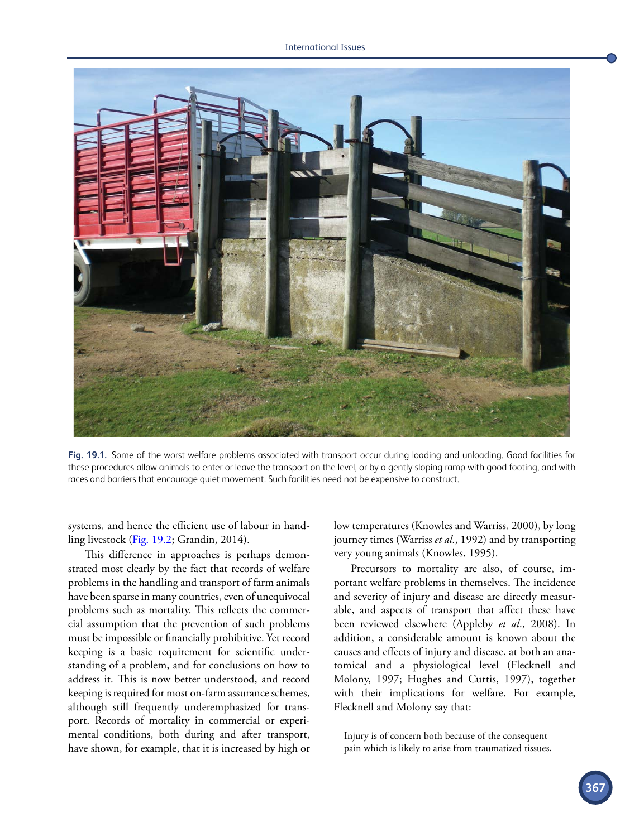<span id="page-5-0"></span>

**Fig. 19.1.** Some of the worst welfare problems associated with transport occur during loading and unloading. Good facilities for these procedures allow animals to enter or leave the transport on the level, or by a gently sloping ramp with good footing, and with races and barriers that encourage quiet movement. Such facilities need not be expensive to construct.

systems, and hence the efficient use of labour in handling livestock [\(Fig. 19.2;](#page-6-0) Grandin, 2014).

This difference in approaches is perhaps demonstrated most clearly by the fact that records of welfare problems in the handling and transport of farm animals have been sparse in many countries, even of unequivocal problems such as mortality. This reflects the commercial assumption that the prevention of such problems must be impossible or financially prohibitive. Yet record keeping is a basic requirement for scientific understanding of a problem, and for conclusions on how to address it. This is now better understood, and record keeping is required for most on-farm assurance schemes, although still frequently underemphasized for transport. Records of mortality in commercial or experimental conditions, both during and after transport, have shown, for example, that it is increased by high or low temperatures (Knowles and Warriss, 2000), by long journey times (Warriss *et al*., 1992) and by transporting very young animals (Knowles, 1995).

Precursors to mortality are also, of course, important welfare problems in themselves. The incidence and severity of injury and disease are directly measurable, and aspects of transport that affect these have been reviewed elsewhere (Appleby *et al*., 2008). In addition, a considerable amount is known about the causes and effects of injury and disease, at both an anatomical and a physiological level (Flecknell and Molony, 1997; Hughes and Curtis, 1997), together with their implications for welfare. For example, Flecknell and Molony say that:

Injury is of concern both because of the consequent pain which is likely to arise from traumatized tissues,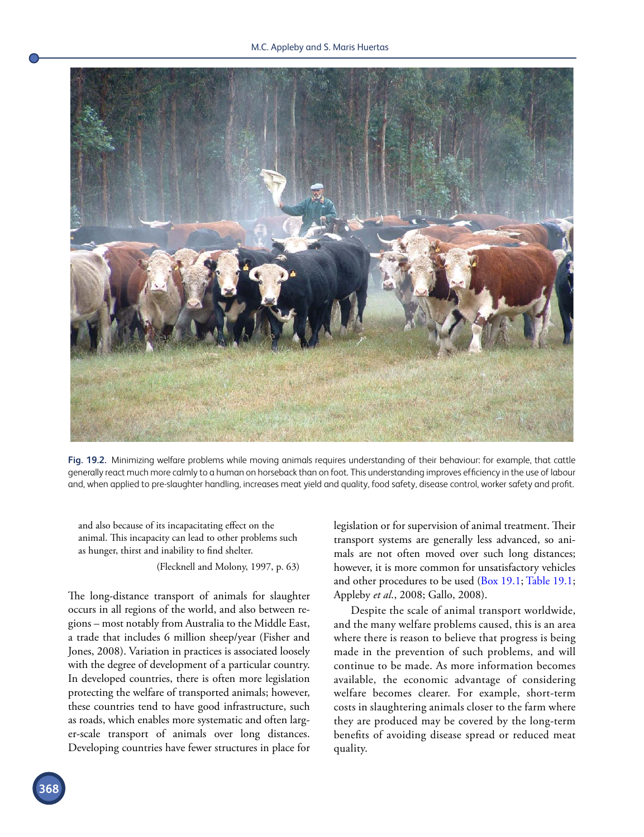<span id="page-6-0"></span>

**Fig. 19.2.** Minimizing welfare problems while moving animals requires understanding of their behaviour: for example, that cattle generally react much more calmly to a human on horseback than on foot. This understanding improves efficiency in the use of labour and, when applied to pre-slaughter handling, increases meat yield and quality, food safety, disease control, worker safety and profit.

and also because of its incapacitating effect on the animal. This incapacity can lead to other problems such as hunger, thirst and inability to find shelter.

(Flecknell and Molony, 1997, p. 63)

The long-distance transport of animals for slaughter occurs in all regions of the world, and also between regions – most notably from Australia to the Middle East, a trade that includes 6 million sheep/year (Fisher and Jones, 2008). Variation in practices is associated loosely with the degree of development of a particular country. In developed countries, there is often more legislation protecting the welfare of transported animals; however, these countries tend to have good infrastructure, such as roads, which enables more systematic and often larger-scale transport of animals over long distances. Developing countries have fewer structures in place for legislation or for supervision of animal treatment. Their transport systems are generally less advanced, so animals are not often moved over such long distances; however, it is more common for unsatisfactory vehicles and other procedures to be used [\(Box 19.1;](#page-7-0) [Table 19.1;](#page-8-0) Appleby *et al*., 2008; Gallo, 2008).

Despite the scale of animal transport worldwide, and the many welfare problems caused, this is an area where there is reason to believe that progress is being made in the prevention of such problems, and will continue to be made. As more information becomes available, the economic advantage of considering welfare becomes clearer. For example, short-term costs in slaughtering animals closer to the farm where they are produced may be covered by the long-term benefits of avoiding disease spread or reduced meat quality.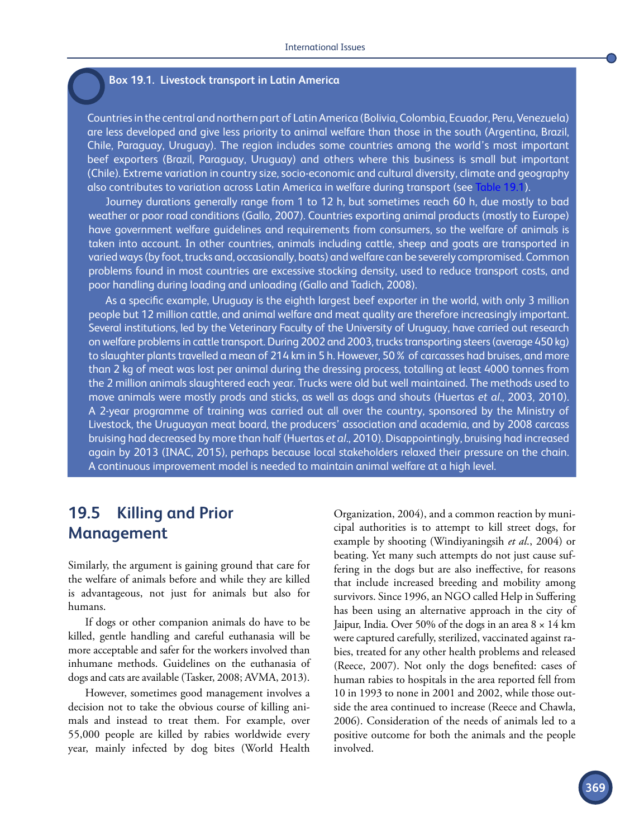#### <span id="page-7-0"></span>**Box 19.1. Livestock transport in Latin America**

Countries in the central and northern part of Latin America (Bolivia, Colombia, Ecuador, Peru, Venezuela) are less developed and give less priority to animal welfare than those in the south (Argentina, Brazil, Chile, Paraguay, Uruguay). The region includes some countries among the world's most important beef exporters (Brazil, Paraguay, Uruguay) and others where this business is small but important (Chile). Extreme variation in country size, socio-economic and cultural diversity, climate and geography also contributes to variation across Latin America in welfare during transport (see [Table 19.1\)](#page-8-0).

Journey durations generally range from 1 to 12 h, but sometimes reach 60 h, due mostly to bad weather or poor road conditions (Gallo, 2007). Countries exporting animal products (mostly to Europe) have government welfare guidelines and requirements from consumers, so the welfare of animals is taken into account. In other countries, animals including cattle, sheep and goats are transported in varied ways (by foot, trucks and, occasionally, boats) and welfare can be severely compromised. Common problems found in most countries are excessive stocking density, used to reduce transport costs, and poor handling during loading and unloading (Gallo and Tadich, 2008).

As a specific example, Uruguay is the eighth largest beef exporter in the world, with only 3 million people but 12 million cattle, and animal welfare and meat quality are therefore increasingly important. Several institutions, led by the Veterinary Faculty of the University of Uruguay, have carried out research on welfare problems in cattle transport. During 2002 and 2003, trucks transporting steers (average 450 kg) to slaughter plants travelled a mean of 214 km in 5 h. However, 50% of carcasses had bruises, and more than 2 kg of meat was lost per animal during the dressing process, totalling at least 4000 tonnes from the 2 million animals slaughtered each year. Trucks were old but well maintained. The methods used to move animals were mostly prods and sticks, as well as dogs and shouts (Huertas *et al*., 2003, 2010). A 2-year programme of training was carried out all over the country, sponsored by the Ministry of Livestock, the Uruguayan meat board, the producers' association and academia, and by 2008 carcass bruising had decreased by more than half (Huertas *et al*., 2010). Disappointingly, bruising had increased again by 2013 (INAC, 2015), perhaps because local stakeholders relaxed their pressure on the chain. A continuous improvement model is needed to maintain animal welfare at a high level.

## **19.5 Killing and Prior Management**

Similarly, the argument is gaining ground that care for the welfare of animals before and while they are killed is advantageous, not just for animals but also for humans.

If dogs or other companion animals do have to be killed, gentle handling and careful euthanasia will be more acceptable and safer for the workers involved than inhumane methods. Guidelines on the euthanasia of dogs and cats are available (Tasker, 2008; AVMA, 2013).

However, sometimes good management involves a decision not to take the obvious course of killing animals and instead to treat them. For example, over 55,000 people are killed by rabies worldwide every year, mainly infected by dog bites (World Health

Organization, 2004), and a common reaction by municipal authorities is to attempt to kill street dogs, for example by shooting (Windiyaningsih *et al*., 2004) or beating. Yet many such attempts do not just cause suffering in the dogs but are also ineffective, for reasons that include increased breeding and mobility among survivors. Since 1996, an NGO called Help in Suffering has been using an alternative approach in the city of Jaipur, India. Over 50% of the dogs in an area 8 × 14 km were captured carefully, sterilized, vaccinated against rabies, treated for any other health problems and released (Reece, 2007). Not only the dogs benefited: cases of human rabies to hospitals in the area reported fell from 10 in 1993 to none in 2001 and 2002, while those outside the area continued to increase (Reece and Chawla, 2006). Consideration of the needs of animals led to a positive outcome for both the animals and the people involved.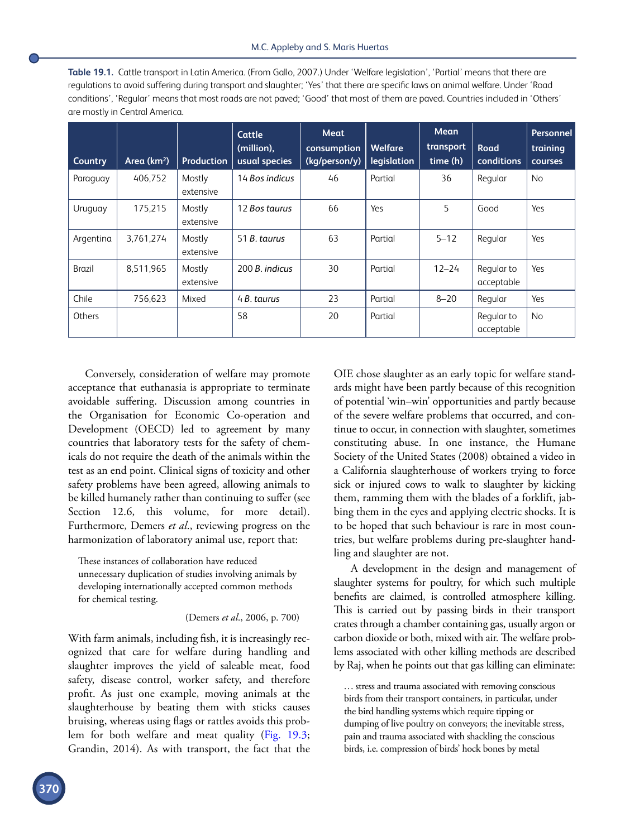<span id="page-8-0"></span>

| <b>Table 19.1.</b> Cattle transport in Latin America. (From Gallo, 2007.) Under 'Welfare legislation', 'Partial' means that there are |
|---------------------------------------------------------------------------------------------------------------------------------------|
| requlations to avoid suffering during transport and slaughter; 'Yes' that there are specific laws on animal welfare. Under 'Road      |
| conditions', 'Regular' means that most roads are not paved; 'Good' that most of them are paved. Countries included in 'Others'        |
| are mostly in Central America.                                                                                                        |

| Country   | Area $(km^2)$ | <b>Production</b>   | Cattle<br>(million),<br>usual species | Meat<br>consumption<br>(kg/person/y) | <b>Welfare</b><br>legislation | Mean<br>transport<br>time (h) | Road<br>conditions       | <b>Personnel</b><br>training<br><b>courses</b> |
|-----------|---------------|---------------------|---------------------------------------|--------------------------------------|-------------------------------|-------------------------------|--------------------------|------------------------------------------------|
| Paraguay  | 406.752       | Mostly<br>extensive | 14 Bos indicus                        | 46                                   | Partial                       | 36                            | Regular                  | <b>No</b>                                      |
| Uruguay   | 175.215       | Mostly<br>extensive | 12 Bos taurus                         | 66                                   | Yes                           | 5                             | Good                     | Yes                                            |
| Argentina | 3.761.274     | Mostly<br>extensive | 51 B. taurus                          | 63                                   | Partial                       | $5 - 12$                      | Regular                  | Yes                                            |
| Brazil    | 8.511.965     | Mostly<br>extensive | 200 B. indicus                        | 30                                   | Partial                       | $12 - 24$                     | Regular to<br>acceptable | Yes                                            |
| Chile     | 756.623       | Mixed               | 4 B. taurus                           | 23                                   | Partial                       | $8 - 20$                      | Regular                  | Yes                                            |
| Others    |               |                     | 58                                    | 20                                   | Partial                       |                               | Regular to<br>acceptable | <b>No</b>                                      |

Conversely, consideration of welfare may promote acceptance that euthanasia is appropriate to terminate avoidable suffering. Discussion among countries in the Organisation for Economic Co-operation and Development (OECD) led to agreement by many countries that laboratory tests for the safety of chemicals do not require the death of the animals within the test as an end point. Clinical signs of toxicity and other safety problems have been agreed, allowing animals to be killed humanely rather than continuing to suffer (see Section 12.6, this volume, for more detail). Furthermore, Demers *et al*., reviewing progress on the harmonization of laboratory animal use, report that:

These instances of collaboration have reduced unnecessary duplication of studies involving animals by developing internationally accepted common methods for chemical testing.

(Demers *et al*., 2006, p. 700)

With farm animals, including fish, it is increasingly recognized that care for welfare during handling and slaughter improves the yield of saleable meat, food safety, disease control, worker safety, and therefore profit. As just one example, moving animals at the slaughterhouse by beating them with sticks causes bruising, whereas using flags or rattles avoids this problem for both welfare and meat quality ([Fig. 19.3;](#page-9-0) Grandin, 2014). As with transport, the fact that the

OIE chose slaughter as an early topic for welfare standards might have been partly because of this recognition of potential 'win–win' opportunities and partly because of the severe welfare problems that occurred, and continue to occur, in connection with slaughter, sometimes constituting abuse. In one instance, the Humane Society of the United States (2008) obtained a video in a California slaughterhouse of workers trying to force sick or injured cows to walk to slaughter by kicking them, ramming them with the blades of a forklift, jabbing them in the eyes and applying electric shocks. It is to be hoped that such behaviour is rare in most countries, but welfare problems during pre-slaughter handling and slaughter are not.

A development in the design and management of slaughter systems for poultry, for which such multiple benefits are claimed, is controlled atmosphere killing. This is carried out by passing birds in their transport crates through a chamber containing gas, usually argon or carbon dioxide or both, mixed with air. The welfare problems associated with other killing methods are described by Raj, when he points out that gas killing can eliminate:

... stress and trauma associated with removing conscious birds from their transport containers, in particular, under the bird handling systems which require tipping or dumping of live poultry on conveyors; the inevitable stress, pain and trauma associated with shackling the conscious birds, i.e. compression of birds' hock bones by metal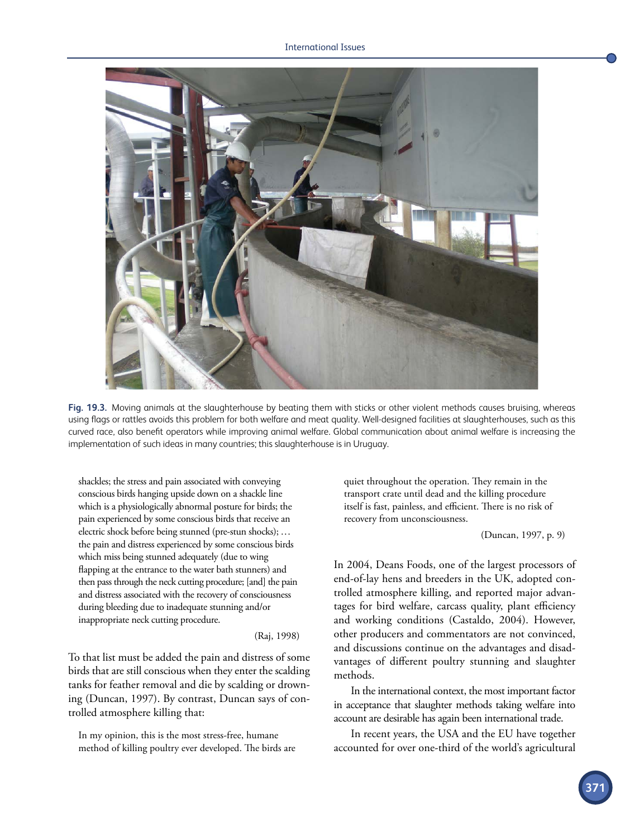<span id="page-9-0"></span>

**Fig. 19.3.** Moving animals at the slaughterhouse by beating them with sticks or other violent methods causes bruising, whereas using flags or rattles avoids this problem for both welfare and meat quality. Well-designed facilities at slaughterhouses, such as this curved race, also benefit operators while improving animal welfare. Global communication about animal welfare is increasing the implementation of such ideas in many countries; this slaughterhouse is in Uruguay.

shackles; the stress and pain associated with conveying conscious birds hanging upside down on a shackle line which is a physiologically abnormal posture for birds; the pain experienced by some conscious birds that receive an electric shock before being stunned (pre-stun shocks); ... the pain and distress experienced by some conscious birds which miss being stunned adequately (due to wing flapping at the entrance to the water bath stunners) and then pass through the neck cutting procedure; [and] the pain and distress associated with the recovery of consciousness during bleeding due to inadequate stunning and/or inappropriate neck cutting procedure.

#### (Raj, 1998)

To that list must be added the pain and distress of some birds that are still conscious when they enter the scalding tanks for feather removal and die by scalding or drowning (Duncan, 1997). By contrast, Duncan says of controlled atmosphere killing that:

In my opinion, this is the most stress-free, humane method of killing poultry ever developed. The birds are quiet throughout the operation. They remain in the transport crate until dead and the killing procedure itself is fast, painless, and efficient. There is no risk of recovery from unconsciousness.

(Duncan, 1997, p. 9)

In 2004, Deans Foods, one of the largest processors of end-of-lay hens and breeders in the UK, adopted controlled atmosphere killing, and reported major advantages for bird welfare, carcass quality, plant efficiency and working conditions (Castaldo, 2004). However, other producers and commentators are not convinced, and discussions continue on the advantages and disadvantages of different poultry stunning and slaughter methods.

In the international context, the most important factor in acceptance that slaughter methods taking welfare into account are desirable has again been international trade.

In recent years, the USA and the EU have together accounted for over one-third of the world's agricultural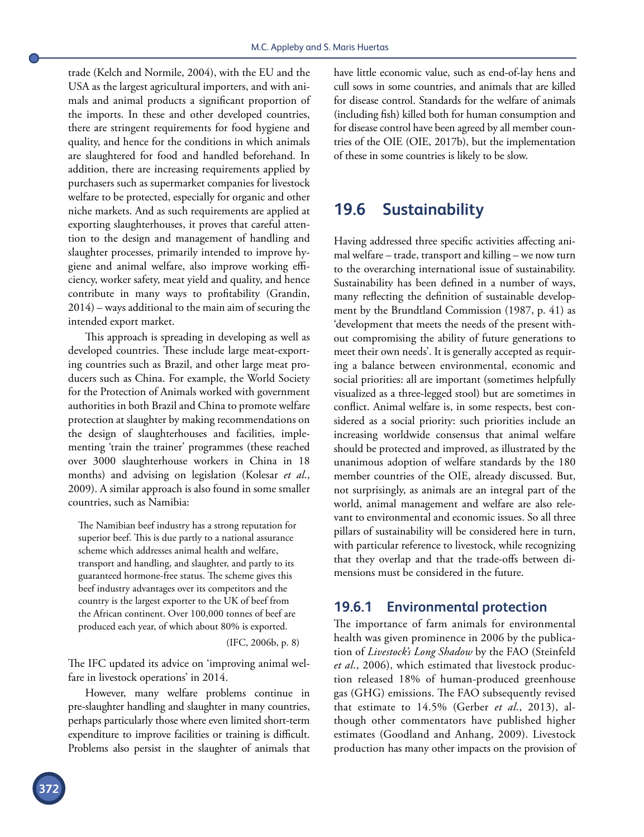trade (Kelch and Normile, 2004), with the EU and the USA as the largest agricultural importers, and with animals and animal products a significant proportion of the imports. In these and other developed countries, there are stringent requirements for food hygiene and quality, and hence for the conditions in which animals are slaughtered for food and handled beforehand. In addition, there are increasing requirements applied by purchasers such as supermarket companies for livestock welfare to be protected, especially for organic and other niche markets. And as such requirements are applied at exporting slaughterhouses, it proves that careful attention to the design and management of handling and slaughter processes, primarily intended to improve hygiene and animal welfare, also improve working efficiency, worker safety, meat yield and quality, and hence contribute in many ways to profitability (Grandin, 2014) – ways additional to the main aim of securing the intended export market.

This approach is spreading in developing as well as developed countries. These include large meat-exporting countries such as Brazil, and other large meat producers such as China. For example, the World Society for the Protection of Animals worked with government authorities in both Brazil and China to promote welfare protection at slaughter by making recommendations on the design of slaughterhouses and facilities, implementing 'train the trainer' programmes (these reached over 3000 slaughterhouse workers in China in 18 months) and advising on legislation (Kolesar *et al*., 2009). A similar approach is also found in some smaller countries, such as Namibia:

The Namibian beef industry has a strong reputation for superior beef. This is due partly to a national assurance scheme which addresses animal health and welfare, transport and handling, and slaughter, and partly to its guaranteed hormone-free status. The scheme gives this beef industry advantages over its competitors and the country is the largest exporter to the UK of beef from the African continent. Over 100,000 tonnes of beef are produced each year, of which about 80% is exported.

(IFC, 2006b, p. 8)

The IFC updated its advice on 'improving animal welfare in livestock operations' in 2014.

However, many welfare problems continue in pre-slaughter handling and slaughter in many countries, perhaps particularly those where even limited short-term expenditure to improve facilities or training is difficult. Problems also persist in the slaughter of animals that have little economic value, such as end-of-lay hens and cull sows in some countries, and animals that are killed for disease control. Standards for the welfare of animals (including fish) killed both for human consumption and for disease control have been agreed by all member countries of the OIE (OIE, 2017b), but the implementation of these in some countries is likely to be slow.

## **19.6 Sustainability**

Having addressed three specific activities affecting animal welfare – trade, transport and killing – we now turn to the overarching international issue of sustainability. Sustainability has been defined in a number of ways, many reflecting the definition of sustainable development by the Brundtland Commission (1987, p. 41) as 'development that meets the needs of the present without compromising the ability of future generations to meet their own needs'. It is generally accepted as requiring a balance between environmental, economic and social priorities: all are important (sometimes helpfully visualized as a three-legged stool) but are sometimes in conflict. Animal welfare is, in some respects, best considered as a social priority: such priorities include an increasing worldwide consensus that animal welfare should be protected and improved, as illustrated by the unanimous adoption of welfare standards by the 180 member countries of the OIE, already discussed. But, not surprisingly, as animals are an integral part of the world, animal management and welfare are also relevant to environmental and economic issues. So all three pillars of sustainability will be considered here in turn, with particular reference to livestock, while recognizing that they overlap and that the trade-offs between dimensions must be considered in the future.

### **19.6.1 Environmental protection**

The importance of farm animals for environmental health was given prominence in 2006 by the publication of *Livestock's Long Shadow* by the FAO (Steinfeld *et al*., 2006), which estimated that livestock production released 18% of human-produced greenhouse gas (GHG) emissions. The FAO subsequently revised that estimate to 14.5% (Gerber *et al*., 2013), although other commentators have published higher estimates (Goodland and Anhang, 2009). Livestock production has many other impacts on the provision of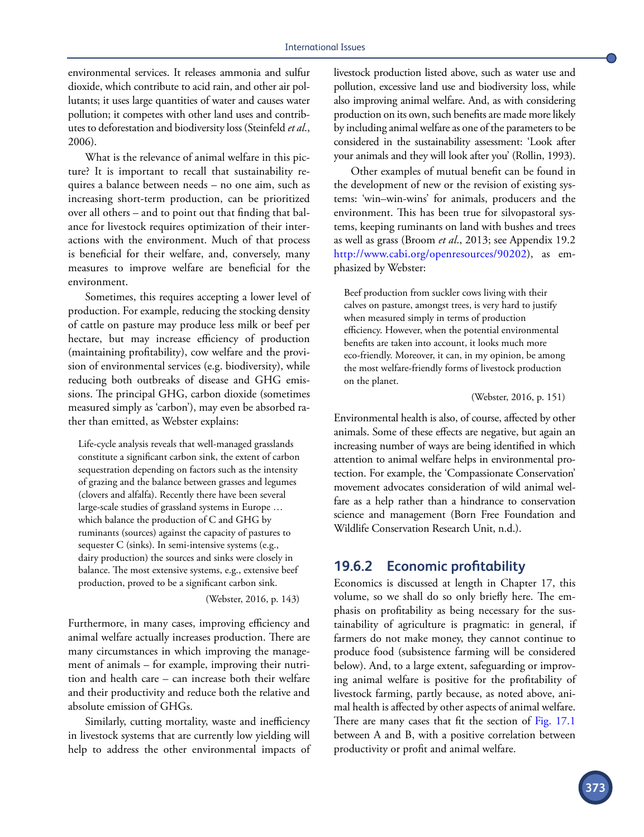environmental services. It releases ammonia and sulfur dioxide, which contribute to acid rain, and other air pollutants; it uses large quantities of water and causes water pollution; it competes with other land uses and contributes to deforestation and biodiversity loss (Steinfeld *et al*., 2006).

What is the relevance of animal welfare in this picture? It is important to recall that sustainability requires a balance between needs – no one aim, such as increasing short-term production, can be prioritized over all others – and to point out that finding that balance for livestock requires optimization of their interactions with the environment. Much of that process is beneficial for their welfare, and, conversely, many measures to improve welfare are beneficial for the environment.

Sometimes, this requires accepting a lower level of production. For example, reducing the stocking density of cattle on pasture may produce less milk or beef per hectare, but may increase efficiency of production (maintaining profitability), cow welfare and the provision of environmental services (e.g. biodiversity), while reducing both outbreaks of disease and GHG emissions. The principal GHG, carbon dioxide (sometimes measured simply as 'carbon'), may even be absorbed rather than emitted, as Webster explains:

Life-cycle analysis reveals that well-managed grasslands constitute a significant carbon sink, the extent of carbon sequestration depending on factors such as the intensity of grazing and the balance between grasses and legumes (clovers and alfalfa). Recently there have been several large-scale studies of grassland systems in Europe … which balance the production of C and GHG by ruminants (sources) against the capacity of pastures to sequester C (sinks). In semi-intensive systems (e.g., dairy production) the sources and sinks were closely in balance. The most extensive systems, e.g., extensive beef production, proved to be a significant carbon sink.

(Webster, 2016, p. 143)

Furthermore, in many cases, improving efficiency and animal welfare actually increases production. There are many circumstances in which improving the management of animals – for example, improving their nutrition and health care – can increase both their welfare and their productivity and reduce both the relative and absolute emission of GHGs.

Similarly, cutting mortality, waste and inefficiency in livestock systems that are currently low yielding will help to address the other environmental impacts of livestock production listed above, such as water use and pollution, excessive land use and biodiversity loss, while also improving animal welfare. And, as with considering production on its own, such benefits are made more likely by including animal welfare as one of the parameters to be considered in the sustainability assessment: 'Look after your animals and they will look after you' (Rollin, 1993).

Other examples of mutual benefit can be found in the development of new or the revision of existing systems: 'win–win-wins' for animals, producers and the environment. This has been true for silvopastoral systems, keeping ruminants on land with bushes and trees as well as grass (Broom *et al*., 2013; see Appendix 19.2 <http://www.cabi.org/openresources/90202>), as emphasized by Webster:

Beef production from suckler cows living with their calves on pasture, amongst trees, is very hard to justify when measured simply in terms of production efficiency. However, when the potential environmental benefits are taken into account, it looks much more eco-friendly. Moreover, it can, in my opinion, be among the most welfare-friendly forms of livestock production on the planet.

(Webster, 2016, p. 151)

Environmental health is also, of course, affected by other animals. Some of these effects are negative, but again an increasing number of ways are being identified in which attention to animal welfare helps in environmental protection. For example, the 'Compassionate Conservation' movement advocates consideration of wild animal welfare as a help rather than a hindrance to conservation science and management (Born Free Foundation and Wildlife Conservation Research Unit, n.d.).

## **19.6.2 Economic profitability**

Economics is discussed at length in Chapter 17, this volume, so we shall do so only briefly here. The emphasis on profitability as being necessary for the sustainability of agriculture is pragmatic: in general, if farmers do not make money, they cannot continue to produce food (subsistence farming will be considered below). And, to a large extent, safeguarding or improving animal welfare is positive for the profitability of livestock farming, partly because, as noted above, animal health is affected by other aspects of animal welfare. There are many cases that fit the section of [Fig. 17.1](#page--1-0) between A and B, with a positive correlation between productivity or profit and animal welfare.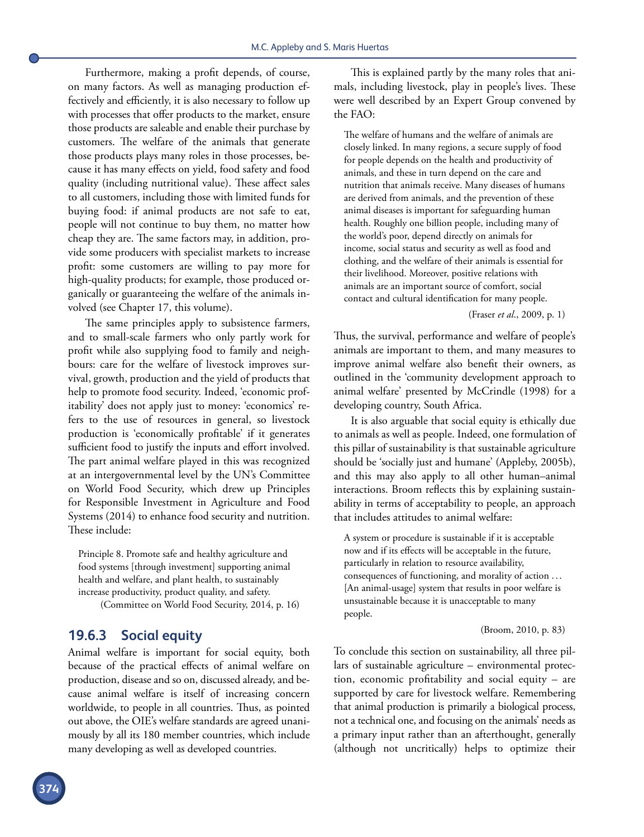Furthermore, making a profit depends, of course, on many factors. As well as managing production effectively and efficiently, it is also necessary to follow up with processes that offer products to the market, ensure those products are saleable and enable their purchase by customers. The welfare of the animals that generate those products plays many roles in those processes, because it has many effects on yield, food safety and food quality (including nutritional value). These affect sales to all customers, including those with limited funds for buying food: if animal products are not safe to eat, people will not continue to buy them, no matter how cheap they are. The same factors may, in addition, provide some producers with specialist markets to increase profit: some customers are willing to pay more for high-quality products; for example, those produced organically or guaranteeing the welfare of the animals involved (see Chapter 17, this volume).

The same principles apply to subsistence farmers, and to small-scale farmers who only partly work for profit while also supplying food to family and neighbours: care for the welfare of livestock improves survival, growth, production and the yield of products that help to promote food security. Indeed, 'economic profitability' does not apply just to money: 'economics' refers to the use of resources in general, so livestock production is 'economically profitable' if it generates sufficient food to justify the inputs and effort involved. The part animal welfare played in this was recognized at an intergovernmental level by the UN's Committee on World Food Security, which drew up Principles for Responsible Investment in Agriculture and Food Systems (2014) to enhance food security and nutrition. These include:

Principle 8. Promote safe and healthy agriculture and food systems [through investment] supporting animal health and welfare, and plant health, to sustainably increase productivity, product quality, and safety. (Committee on World Food Security, 2014, p. 16)

## **19.6.3 Social equity**

Animal welfare is important for social equity, both because of the practical effects of animal welfare on production, disease and so on, discussed already, and because animal welfare is itself of increasing concern worldwide, to people in all countries. Thus, as pointed out above, the OIE's welfare standards are agreed unanimously by all its 180 member countries, which include many developing as well as developed countries.

This is explained partly by the many roles that animals, including livestock, play in people's lives. These were well described by an Expert Group convened by the FAO:

The welfare of humans and the welfare of animals are closely linked. In many regions, a secure supply of food for people depends on the health and productivity of animals, and these in turn depend on the care and nutrition that animals receive. Many diseases of humans are derived from animals, and the prevention of these animal diseases is important for safeguarding human health. Roughly one billion people, including many of the world's poor, depend directly on animals for income, social status and security as well as food and clothing, and the welfare of their animals is essential for their livelihood. Moreover, positive relations with animals are an important source of comfort, social contact and cultural identification for many people.

#### (Fraser *et al*., 2009, p. 1)

Thus, the survival, performance and welfare of people's animals are important to them, and many measures to improve animal welfare also benefit their owners, as outlined in the 'community development approach to animal welfare' presented by McCrindle (1998) for a developing country, South Africa.

It is also arguable that social equity is ethically due to animals as well as people. Indeed, one formulation of this pillar of sustainability is that sustainable agriculture should be 'socially just and humane' (Appleby, 2005b), and this may also apply to all other human–animal interactions. Broom reflects this by explaining sustainability in terms of acceptability to people, an approach that includes attitudes to animal welfare:

A system or procedure is sustainable if it is acceptable now and if its effects will be acceptable in the future, particularly in relation to resource availability, consequences of functioning, and morality of action ... [An animal-usage] system that results in poor welfare is unsustainable because it is unacceptable to many people.

#### (Broom, 2010, p. 83)

To conclude this section on sustainability, all three pillars of sustainable agriculture – environmental protection, economic profitability and social equity – are supported by care for livestock welfare. Remembering that animal production is primarily a biological process, not a technical one, and focusing on the animals' needs as a primary input rather than an afterthought, generally (although not uncritically) helps to optimize their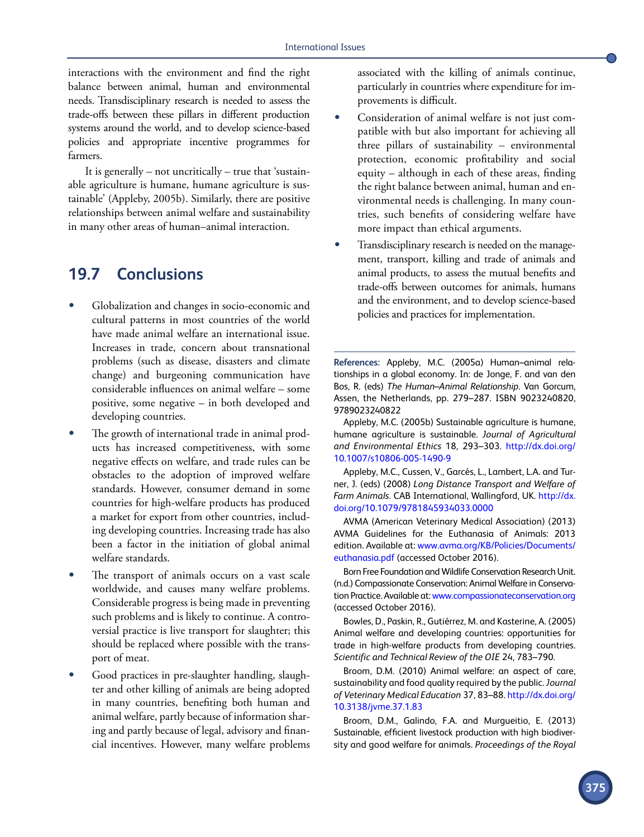interactions with the environment and find the right balance between animal, human and environmental needs. Transdisciplinary research is needed to assess the trade-offs between these pillars in different production systems around the world, and to develop science-based policies and appropriate incentive programmes for farmers.

It is generally – not uncritically – true that 'sustainable agriculture is humane, humane agriculture is sustainable' (Appleby, 2005b). Similarly, there are positive relationships between animal welfare and sustainability in many other areas of human–animal interaction.

## **19.7 Conclusions**

- Globalization and changes in socio-economic and cultural patterns in most countries of the world have made animal welfare an international issue. Increases in trade, concern about transnational problems (such as disease, disasters and climate change) and burgeoning communication have considerable influences on animal welfare – some positive, some negative – in both developed and developing countries.
- The growth of international trade in animal products has increased competitiveness, with some negative effects on welfare, and trade rules can be obstacles to the adoption of improved welfare standards. However, consumer demand in some countries for high-welfare products has produced a market for export from other countries, including developing countries. Increasing trade has also been a factor in the initiation of global animal welfare standards.
- The transport of animals occurs on a vast scale worldwide, and causes many welfare problems. Considerable progress is being made in preventing such problems and is likely to continue. A controversial practice is live transport for slaughter; this should be replaced where possible with the transport of meat.
- Good practices in pre-slaughter handling, slaughter and other killing of animals are being adopted in many countries, benefiting both human and animal welfare, partly because of information sharing and partly because of legal, advisory and financial incentives. However, many welfare problems

associated with the killing of animals continue, particularly in countries where expenditure for improvements is difficult.

- Consideration of animal welfare is not just compatible with but also important for achieving all three pillars of sustainability – environmental protection, economic profitability and social equity – although in each of these areas, finding the right balance between animal, human and environmental needs is challenging. In many countries, such benefits of considering welfare have more impact than ethical arguments.
- Transdisciplinary research is needed on the management, transport, killing and trade of animals and animal products, to assess the mutual benefits and trade-offs between outcomes for animals, humans and the environment, and to develop science-based policies and practices for implementation.

**References:** Appleby, M.C. (2005a) Human–animal relationships in a global economy. In: de Jonge, F. and van den Bos, R. (eds) *The Human–Animal Relationship*. Van Gorcum, Assen, the Netherlands, pp. 279–287. ISBN 9023240820, 9789023240822

Appleby, M.C. (2005b) Sustainable agriculture is humane, humane agriculture is sustainable. *Journal of Agricultural and Environmental Ethics* 18, 293–303. [http://dx.doi.org/](http://dx.doi.org/10.1007/s10806-005-1490-9) [10.1007/s10806-005-1490-9](http://dx.doi.org/10.1007/s10806-005-1490-9)

Appleby, M.C., Cussen, V., Garcés, L., Lambert, L.A. and Turner, J. (eds) (2008) *Long Distance Transport and Welfare of Farm Animals*. CAB International, Wallingford, UK. [http://dx.](http://dx.doi.org/10.1079/9781845934033.0000) [doi.org/10.1079/9781845934033.0000](http://dx.doi.org/10.1079/9781845934033.0000)

AVMA (American Veterinary Medical Association) (2013) AVMA Guidelines for the Euthanasia of Animals: 2013 edition. Available at: [www.avma.org/KB/Policies/Documents/](http://www.avma.org/KB/Policies/Documents/euthanasia.pdf) [euthanasia.pdf](http://www.avma.org/KB/Policies/Documents/euthanasia.pdf) (accessed October 2016).

Born Free Foundation and Wildlife Conservation Research Unit. (n.d.) Compassionate Conservation: Animal Welfare in Conservation Practice. Available at: [www.compassionateconservation.org](http://www.compassionateconservation.org) (accessed October 2016).

Bowles, D., Paskin, R., Gutiérrez, M. and Kasterine, A. (2005) Animal welfare and developing countries: opportunities for trade in high-welfare products from developing countries. *Scientific and Technical Review of the OIE* 24, 783–790.

Broom, D.M. (2010) Animal welfare: an aspect of care, sustainability and food quality required by the public. *Journal of Veterinary Medical Education* 37, 83–88. [http://dx.doi.org/](http://dx.doi.org/10.3138/jvme.37.1.83) [10.3138/jvme.37.1.83](http://dx.doi.org/10.3138/jvme.37.1.83)

Broom, D.M., Galindo, F.A. and Murgueitio, E. (2013) Sustainable, efficient livestock production with high biodiversity and good welfare for animals. *Proceedings of the Royal*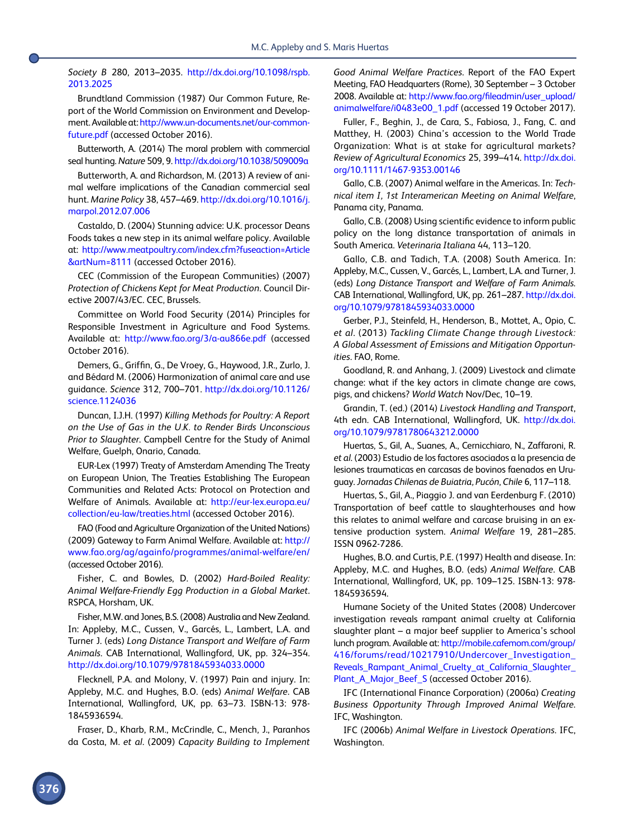*Society B* 280, 2013–2035. [http://dx.doi.org/10.1098/rspb.](http://dx.doi.org/10.1098/rspb.2013.2025) [2013.2025](http://dx.doi.org/10.1098/rspb.2013.2025)

Brundtland Commission (1987) Our Common Future, Report of the World Commission on Environment and Development. Available at: [http://www.un-documents.net/our-common](http://www.un-documents.net/our-common-future.pdf)[future.pdf](http://www.un-documents.net/our-common-future.pdf) (accessed October 2016).

Butterworth, A. (2014) The moral problem with commercial seal hunting. *Nature* 509, 9.<http://dx.doi.org/10.1038/509009a>

Butterworth, A. and Richardson, M. (2013) A review of animal welfare implications of the Canadian commercial seal hunt. *Marine Policy* 38, 457–469. [http://dx.doi.org/10.1016/j.](http://dx.doi.org/10.1016/j.marpol.2012.07.006) [marpol.2012.07.006](http://dx.doi.org/10.1016/j.marpol.2012.07.006)

Castaldo, D. (2004) Stunning advice: U.K. processor Deans Foods takes a new step in its animal welfare policy. Available at: [http://www.meatpoultry.com/index.cfm?fuseaction=Article](http://www.meatpoultry.com/index.cfm?fuseaction=Article&artNum=8111) [&artNum=8111](http://www.meatpoultry.com/index.cfm?fuseaction=Article&artNum=8111) (accessed October 2016).

CEC (Commission of the European Communities) (2007) *Protection of Chickens Kept for Meat Production*. Council Directive 2007/43/EC. CEC, Brussels.

Committee on World Food Security (2014) Principles for Responsible Investment in Agriculture and Food Systems. Available at: <http://www.fao.org/3/a-au866e.pdf>(accessed October 2016).

Demers, G., Griffin, G., De Vroey, G., Haywood, J.R., Zurlo, J. and Bédard M. (2006) Harmonization of animal care and use guidance. *Science* 312, 700–701. [http://dx.doi.org/10.1126/](http://dx.doi.org/10.1126/science.1124036) [science.1124036](http://dx.doi.org/10.1126/science.1124036)

Duncan, I.J.H. (1997) *Killing Methods for Poultry: A Report on the Use of Gas in the U.K. to Render Birds Unconscious Prior to Slaughter*. Campbell Centre for the Study of Animal Welfare, Guelph, Onario, Canada.

EUR-Lex (1997) Treaty of Amsterdam Amending The Treaty on European Union, The Treaties Establishing The European Communities and Related Acts: Protocol on Protection and Welfare of Animals. Available at: [http://eur-lex.europa.eu/](http://eur-lex.europa.eu/collection/eu-law/treaties.html) [collection/eu-law/treaties.html](http://eur-lex.europa.eu/collection/eu-law/treaties.html) (accessed October 2016).

FAO (Food and Agriculture Organization of the United Nations) (2009) Gateway to Farm Animal Welfare. Available at: [http://](http://www.fao.org/ag/againfo/programmes/animal-welfare/en/) [www.fao.org/ag/againfo/programmes/animal-welfare/en/](http://www.fao.org/ag/againfo/programmes/animal-welfare/en/) (accessed October 2016).

Fisher, C. and Bowles, D. (2002) *Hard-Boiled Reality: Animal Welfare-Friendly Egg Production in a Global Market*. RSPCA, Horsham, UK.

Fisher, M.W. and Jones, B.S. (2008) Australia and New Zealand. In: Appleby, M.C., Cussen, V., Garcés, L., Lambert, L.A. and Turner J. (eds) *Long Distance Transport and Welfare of Farm Animals*. CAB International, Wallingford, UK, pp. 324–354. <http://dx.doi.org/10.1079/9781845934033.0000>

Flecknell, P.A. and Molony, V. (1997) Pain and injury. In: Appleby, M.C. and Hughes, B.O. (eds) *Animal Welfare*. CAB International, Wallingford, UK, pp. 63–73. ISBN-13: 978- 1845936594.

Fraser, D., Kharb, R.M., McCrindle, C., Mench, J., Paranhos da Costa, M. *et al*. (2009) *Capacity Building to Implement*  *Good Animal Welfare Practices*. Report of the FAO Expert Meeting, FAO Headquarters (Rome), 30 September – 3 October 2008. Available at: [http://www.fao.org/fileadmin/user\\_upload/](http://www.fao.org/fileadmin/user_upload/animalwelfare/i0483e00_1.pdf) [animalwelfare/i0483e00\\_1.pdf](http://www.fao.org/fileadmin/user_upload/animalwelfare/i0483e00_1.pdf) (accessed 19 October 2017).

Fuller, F., Beghin, J., de Cara, S., Fabiosa, J., Fang, C. and Matthey, H. (2003) China's accession to the World Trade Organization: What is at stake for agricultural markets? *Review of Agricultural Economics* 25, 399–414. [http://dx.doi.](http://dx.doi.org/10.1111/1467-9353.00146) [org/10.1111/1467-9353.00146](http://dx.doi.org/10.1111/1467-9353.00146)

Gallo, C.B. (2007) Animal welfare in the Americas. In: *Technical item I, 1st Interamerican Meeting on Animal Welfare*, Panama city, Panama.

Gallo, C.B. (2008) Using scientific evidence to inform public policy on the long distance transportation of animals in South America. *Veterinaria Italiana* 44, 113–120.

Gallo, C.B. and Tadich, T.A. (2008) South America. In: Appleby, M.C., Cussen, V., Garcés, L., Lambert, L.A. and Turner, J. (eds) *Long Distance Transport and Welfare of Farm Animals*. CAB International, Wallingford, UK, pp. 261–287. [http://dx.doi.](http://dx.doi.org/10.1079/9781845934033.0000) [org/10.1079/9781845934033.0000](http://dx.doi.org/10.1079/9781845934033.0000)

Gerber, P.J., Steinfeld, H., Henderson, B., Mottet, A., Opio, C. *et al*. (2013) *Tackling Climate Change through Livestock: A Global Assessment of Emissions and Mitigation Opportunities*. FAO, Rome.

Goodland, R. and Anhang, J. (2009) Livestock and climate change: what if the key actors in climate change are cows, pigs, and chickens? *World Watch* Nov/Dec, 10–19.

Grandin, T. (ed.) (2014) *Livestock Handling and Transport*, 4th edn. CAB International, Wallingford, UK. [http://dx.doi.](http://dx.doi.org/10.1079/9781780643212.0000) [org/10.1079/9781780643212.0000](http://dx.doi.org/10.1079/9781780643212.0000)

Huertas, S., Gil, A., Suanes, A., Cernicchiaro, N., Zaffaroni, R. *et al*. (2003) Estudio de los factores asociados a la presencia de lesiones traumaticas en carcasas de bovinos faenados en Uruguay. *Jornadas Chilenas de Buiatria, Pucón*, *Chile* 6, 117–118.

Huertas, S., Gil, A., Piaggio J. and van Eerdenburg F. (2010) Transportation of beef cattle to slaughterhouses and how this relates to animal welfare and carcase bruising in an extensive production system. *Animal Welfare* 19, 281–285. ISSN 0962-7286.

Hughes, B.O. and Curtis, P.E. (1997) Health and disease. In: Appleby, M.C. and Hughes, B.O. (eds) *Animal Welfare*. CAB International, Wallingford, UK, pp. 109–125. ISBN-13: 978- 1845936594.

Humane Society of the United States (2008) Undercover investigation reveals rampant animal cruelty at California slaughter plant – a major beef supplier to America's school lunch program. Available at: [http://mobile.cafemom.com/group/](http://mobile.cafemom.com/group/416/forums/read/10217910/Undercover_Investigation_Reveals_Rampant_Animal_Cruelty_at_California_Slaughter_Plant_A_Major_Beef_S) [416/forums/read/10217910/Undercover\\_Investigation\\_](http://mobile.cafemom.com/group/416/forums/read/10217910/Undercover_Investigation_Reveals_Rampant_Animal_Cruelty_at_California_Slaughter_Plant_A_Major_Beef_S) [Reveals\\_Rampant\\_Animal\\_Cruelty\\_at\\_California\\_Slaughter\\_](http://mobile.cafemom.com/group/416/forums/read/10217910/Undercover_Investigation_Reveals_Rampant_Animal_Cruelty_at_California_Slaughter_Plant_A_Major_Beef_S) [Plant\\_A\\_Major\\_Beef\\_S](http://mobile.cafemom.com/group/416/forums/read/10217910/Undercover_Investigation_Reveals_Rampant_Animal_Cruelty_at_California_Slaughter_Plant_A_Major_Beef_S) (accessed October 2016).

IFC (International Finance Corporation) (2006a) *Creating Business Opportunity Through Improved Animal Welfare*. IFC, Washington.

IFC (2006b) *Animal Welfare in Livestock Operations*. IFC, Washington.